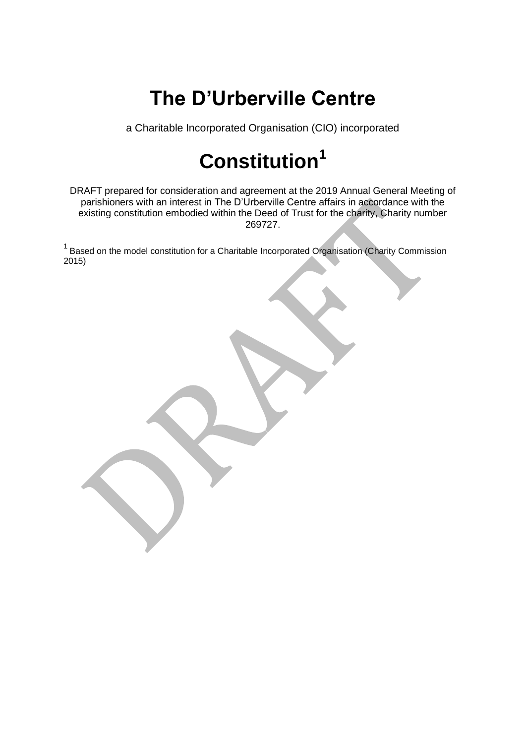# **The D'Urberville Centre**

a Charitable Incorporated Organisation (CIO) incorporated

# **Constitution<sup>1</sup>**

DRAFT prepared for consideration and agreement at the 2019 Annual General Meeting of parishioners with an interest in The D'Urberville Centre affairs in accordance with the existing constitution embodied within the Deed of Trust for the charity, Charity number 269727.

 $1$  Based on the model constitution for a Charitable Incorporated Organisation (Charity Commission 2015)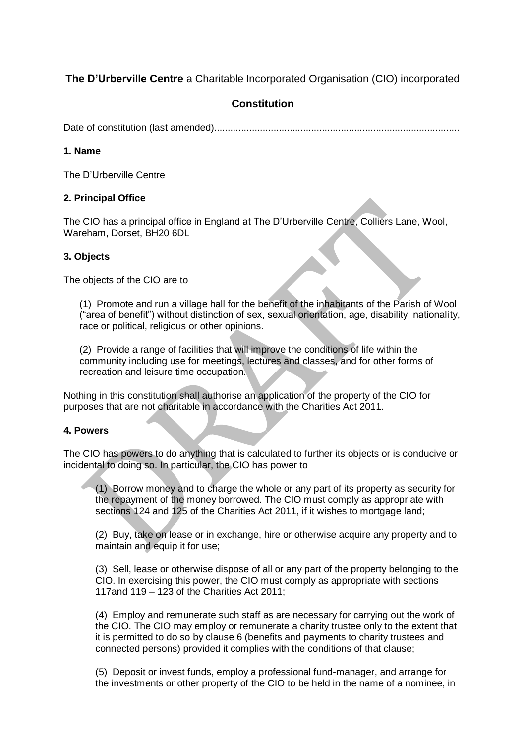# **The D'Urberville Centre** a Charitable Incorporated Organisation (CIO) incorporated

## **Constitution**

Date of constitution (last amended)...........................................................................................

## **1. Name**

The D'Urberville Centre

## **2. Principal Office**

The CIO has a principal office in England at The D'Urberville Centre, Colliers Lane, Wool, Wareham, Dorset, BH20 6DL

## **3. Objects**

The objects of the CIO are to

(1) Promote and run a village hall for the benefit of the inhabitants of the Parish of Wool ("area of benefit") without distinction of sex, sexual orientation, age, disability, nationality, race or political, religious or other opinions.

(2) Provide a range of facilities that will improve the conditions of life within the community including use for meetings, lectures and classes, and for other forms of recreation and leisure time occupation.

Nothing in this constitution shall authorise an application of the property of the CIO for purposes that are not charitable in accordance with the Charities Act 2011.

#### **4. Powers**

The CIO has powers to do anything that is calculated to further its objects or is conducive or incidental to doing so. In particular, the CIO has power to

(1) Borrow money and to charge the whole or any part of its property as security for the repayment of the money borrowed. The CIO must comply as appropriate with sections 124 and 125 of the Charities Act 2011, if it wishes to mortgage land:

(2) Buy, take on lease or in exchange, hire or otherwise acquire any property and to maintain and equip it for use;

(3) Sell, lease or otherwise dispose of all or any part of the property belonging to the CIO. In exercising this power, the CIO must comply as appropriate with sections 117and 119 – 123 of the Charities Act 2011;

(4) Employ and remunerate such staff as are necessary for carrying out the work of the CIO. The CIO may employ or remunerate a charity trustee only to the extent that it is permitted to do so by clause 6 (benefits and payments to charity trustees and connected persons) provided it complies with the conditions of that clause;

(5) Deposit or invest funds, employ a professional fund-manager, and arrange for the investments or other property of the CIO to be held in the name of a nominee, in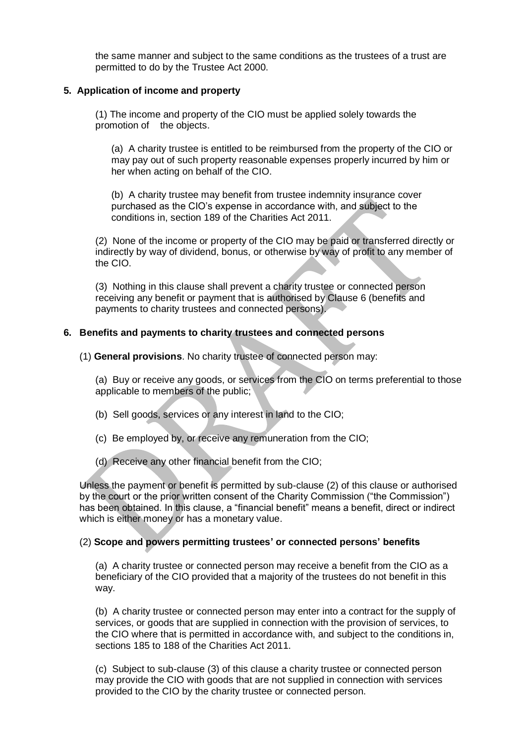the same manner and subject to the same conditions as the trustees of a trust are permitted to do by the Trustee Act 2000.

#### **5. Application of income and property**

(1) The income and property of the CIO must be applied solely towards the promotion of the objects.

(a) A charity trustee is entitled to be reimbursed from the property of the CIO or may pay out of such property reasonable expenses properly incurred by him or her when acting on behalf of the CIO.

(b) A charity trustee may benefit from trustee indemnity insurance cover purchased as the CIO's expense in accordance with, and subject to the conditions in, section 189 of the Charities Act 2011.

(2) None of the income or property of the CIO may be paid or transferred directly or indirectly by way of dividend, bonus, or otherwise by way of profit to any member of the CIO.

(3) Nothing in this clause shall prevent a charity trustee or connected person receiving any benefit or payment that is authorised by Clause 6 (benefits and payments to charity trustees and connected persons).

### **6. Benefits and payments to charity trustees and connected persons**

(1) **General provisions**. No charity trustee of connected person may:

(a) Buy or receive any goods, or services from the CIO on terms preferential to those applicable to members of the public;

- (b) Sell goods, services or any interest in land to the CIO;
- (c) Be employed by, or receive any remuneration from the CIO;
- (d) Receive any other financial benefit from the CIO;

Unless the payment or benefit is permitted by sub-clause (2) of this clause or authorised by the court or the prior written consent of the Charity Commission ("the Commission") has been obtained. In this clause, a "financial benefit" means a benefit, direct or indirect which is either money or has a monetary value.

#### (2) **Scope and powers permitting trustees' or connected persons' benefits**

(a) A charity trustee or connected person may receive a benefit from the CIO as a beneficiary of the CIO provided that a majority of the trustees do not benefit in this way.

(b) A charity trustee or connected person may enter into a contract for the supply of services, or goods that are supplied in connection with the provision of services, to the CIO where that is permitted in accordance with, and subject to the conditions in, sections 185 to 188 of the Charities Act 2011.

(c) Subject to sub-clause (3) of this clause a charity trustee or connected person may provide the CIO with goods that are not supplied in connection with services provided to the CIO by the charity trustee or connected person.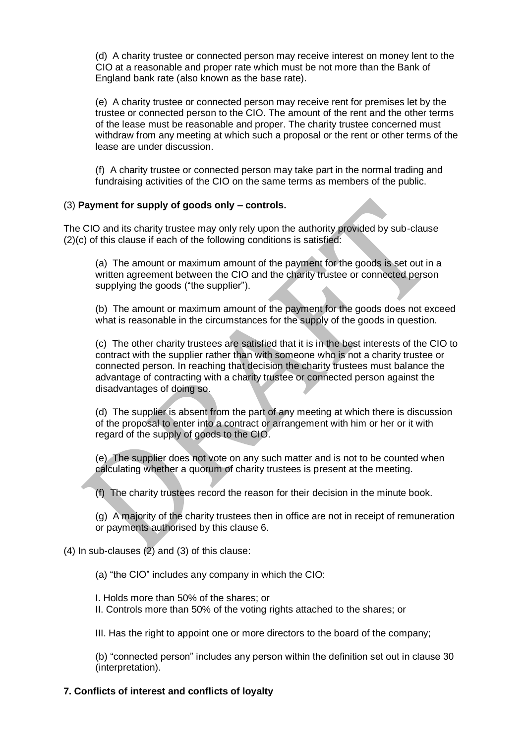(d) A charity trustee or connected person may receive interest on money lent to the CIO at a reasonable and proper rate which must be not more than the Bank of England bank rate (also known as the base rate).

(e) A charity trustee or connected person may receive rent for premises let by the trustee or connected person to the CIO. The amount of the rent and the other terms of the lease must be reasonable and proper. The charity trustee concerned must withdraw from any meeting at which such a proposal or the rent or other terms of the lease are under discussion.

(f) A charity trustee or connected person may take part in the normal trading and fundraising activities of the CIO on the same terms as members of the public.

## (3) **Payment for supply of goods only – controls.**

The CIO and its charity trustee may only rely upon the authority provided by sub-clause (2)(c) of this clause if each of the following conditions is satisfied:

(a) The amount or maximum amount of the payment for the goods is set out in a written agreement between the CIO and the charity trustee or connected person supplying the goods ("the supplier").

(b) The amount or maximum amount of the payment for the goods does not exceed what is reasonable in the circumstances for the supply of the goods in question.

(c) The other charity trustees are satisfied that it is in the best interests of the CIO to contract with the supplier rather than with someone who is not a charity trustee or connected person. In reaching that decision the charity trustees must balance the advantage of contracting with a charity trustee or connected person against the disadvantages of doing so.

(d) The supplier is absent from the part of any meeting at which there is discussion of the proposal to enter into a contract or arrangement with him or her or it with regard of the supply of goods to the CIO.

(e) The supplier does not vote on any such matter and is not to be counted when calculating whether a quorum of charity trustees is present at the meeting.

(f) The charity trustees record the reason for their decision in the minute book.

(g) A majority of the charity trustees then in office are not in receipt of remuneration or payments authorised by this clause 6.

(4) In sub-clauses (2) and (3) of this clause:

(a) "the CIO" includes any company in which the CIO:

I. Holds more than 50% of the shares; or II. Controls more than 50% of the voting rights attached to the shares; or

III. Has the right to appoint one or more directors to the board of the company;

(b) "connected person" includes any person within the definition set out in clause 30 (interpretation).

## **7. Conflicts of interest and conflicts of loyalty**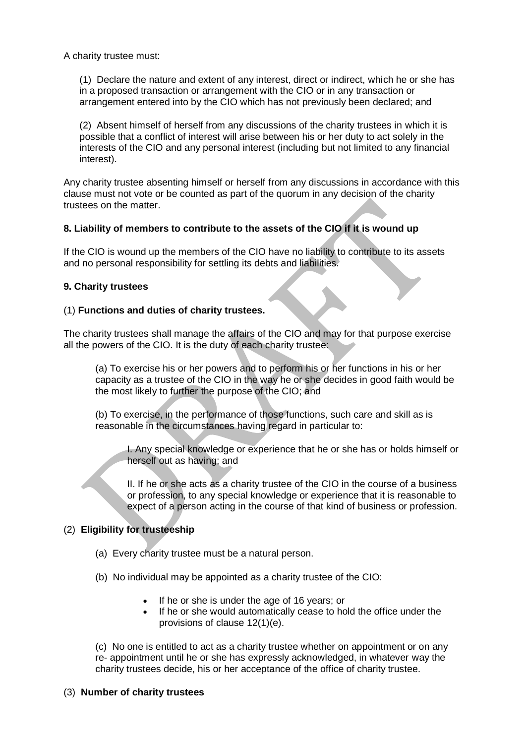A charity trustee must:

(1) Declare the nature and extent of any interest, direct or indirect, which he or she has in a proposed transaction or arrangement with the CIO or in any transaction or arrangement entered into by the CIO which has not previously been declared; and

(2) Absent himself of herself from any discussions of the charity trustees in which it is possible that a conflict of interest will arise between his or her duty to act solely in the interests of the CIO and any personal interest (including but not limited to any financial interest).

Any charity trustee absenting himself or herself from any discussions in accordance with this clause must not vote or be counted as part of the quorum in any decision of the charity trustees on the matter.

## **8. Liability of members to contribute to the assets of the CIO if it is wound up**

If the CIO is wound up the members of the CIO have no liability to contribute to its assets and no personal responsibility for settling its debts and liabilities.

## **9. Charity trustees**

## (1) **Functions and duties of charity trustees.**

The charity trustees shall manage the affairs of the CIO and may for that purpose exercise all the powers of the CIO. It is the duty of each charity trustee:

(a) To exercise his or her powers and to perform his or her functions in his or her capacity as a trustee of the CIO in the way he or she decides in good faith would be the most likely to further the purpose of the CIO; and

(b) To exercise, in the performance of those functions, such care and skill as is reasonable in the circumstances having regard in particular to:

I. Any special knowledge or experience that he or she has or holds himself or herself out as having; and

II. If he or she acts as a charity trustee of the CIO in the course of a business or profession, to any special knowledge or experience that it is reasonable to expect of a person acting in the course of that kind of business or profession.

## (2) **Eligibility for trusteeship**

- (a) Every charity trustee must be a natural person.
- (b) No individual may be appointed as a charity trustee of the CIO:
	- If he or she is under the age of 16 years; or
	- If he or she would automatically cease to hold the office under the provisions of clause 12(1)(e).

(c) No one is entitled to act as a charity trustee whether on appointment or on any re- appointment until he or she has expressly acknowledged, in whatever way the charity trustees decide, his or her acceptance of the office of charity trustee.

## (3) **Number of charity trustees**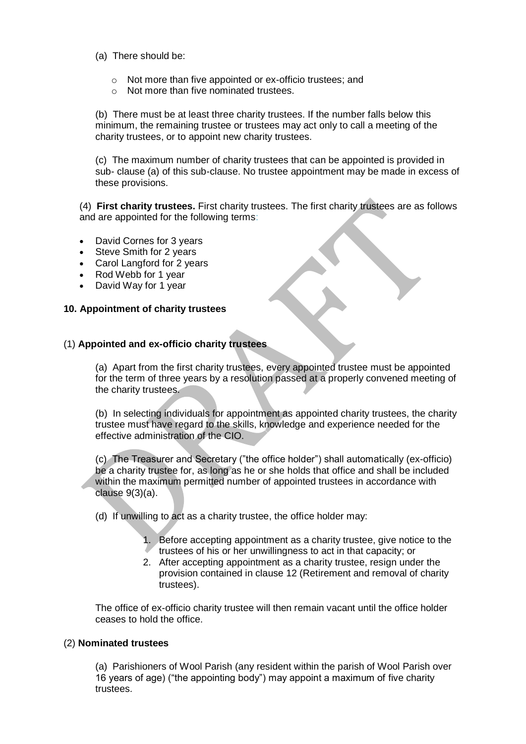- (a) There should be:
	- o Not more than five appointed or ex-officio trustees; and
	- o Not more than five nominated trustees.

(b) There must be at least three charity trustees. If the number falls below this minimum, the remaining trustee or trustees may act only to call a meeting of the charity trustees, or to appoint new charity trustees.

(c) The maximum number of charity trustees that can be appointed is provided in sub- clause (a) of this sub-clause. No trustee appointment may be made in excess of these provisions.

(4) **First charity trustees.** First charity trustees. The first charity trustees are as follows and are appointed for the following terms:

- David Cornes for 3 years
- Steve Smith for 2 years
- Carol Langford for 2 years
- Rod Webb for 1 year
- David Way for 1 year

### **10. Appointment of charity trustees**

### (1) **Appointed and ex-officio charity trustees**

(a) Apart from the first charity trustees, every appointed trustee must be appointed for the term of three years by a resolution passed at a properly convened meeting of the charity trustees.

(b) In selecting individuals for appointment as appointed charity trustees, the charity trustee must have regard to the skills, knowledge and experience needed for the effective administration of the CIO.

(c) The Treasurer and Secretary ("the office holder") shall automatically (ex-officio) be a charity trustee for, as long as he or she holds that office and shall be included within the maximum permitted number of appointed trustees in accordance with clause 9(3)(a).

- (d) If unwilling to act as a charity trustee, the office holder may:
	- 1. Before accepting appointment as a charity trustee, give notice to the trustees of his or her unwillingness to act in that capacity; or
	- 2. After accepting appointment as a charity trustee, resign under the provision contained in clause 12 (Retirement and removal of charity trustees).

The office of ex-officio charity trustee will then remain vacant until the office holder ceases to hold the office.

#### (2) **Nominated trustees**

(a) Parishioners of Wool Parish (any resident within the parish of Wool Parish over 16 years of age) ("the appointing body") may appoint a maximum of five charity trustees.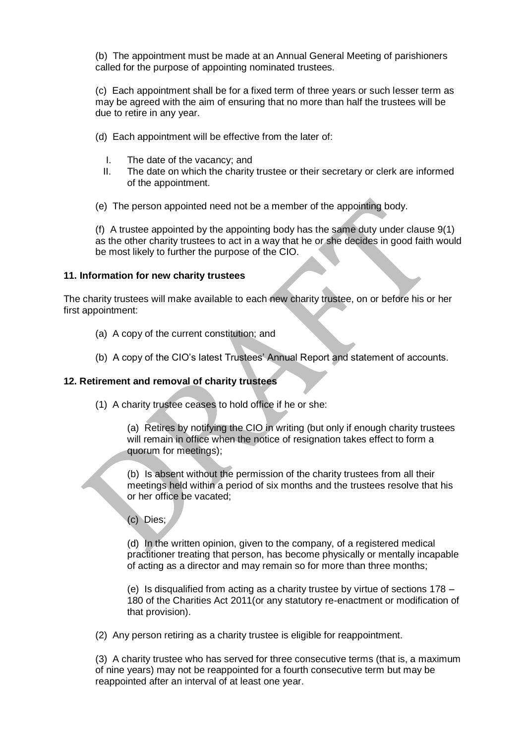(b) The appointment must be made at an Annual General Meeting of parishioners called for the purpose of appointing nominated trustees.

(c) Each appointment shall be for a fixed term of three years or such lesser term as may be agreed with the aim of ensuring that no more than half the trustees will be due to retire in any year.

- (d) Each appointment will be effective from the later of:
	- I. The date of the vacancy; and
	- II. The date on which the charity trustee or their secretary or clerk are informed of the appointment.
- (e) The person appointed need not be a member of the appointing body.

(f) A trustee appointed by the appointing body has the same duty under clause 9(1) as the other charity trustees to act in a way that he or she decides in good faith would be most likely to further the purpose of the CIO.

### **11. Information for new charity trustees**

The charity trustees will make available to each new charity trustee, on or before his or her first appointment:

- (a) A copy of the current constitution; and
- (b) A copy of the CIO's latest Trustees' Annual Report and statement of accounts.

#### **12. Retirement and removal of charity trustees**

(1) A charity trustee ceases to hold office if he or she:

(a) Retires by notifying the CIO in writing (but only if enough charity trustees will remain in office when the notice of resignation takes effect to form a quorum for meetings);

(b) Is absent without the permission of the charity trustees from all their meetings held within a period of six months and the trustees resolve that his or her office be vacated;

(c) Dies;

(d) In the written opinion, given to the company, of a registered medical practitioner treating that person, has become physically or mentally incapable of acting as a director and may remain so for more than three months;

(e) Is disqualified from acting as a charity trustee by virtue of sections 178 – 180 of the Charities Act 2011(or any statutory re-enactment or modification of that provision).

(2) Any person retiring as a charity trustee is eligible for reappointment.

(3) A charity trustee who has served for three consecutive terms (that is, a maximum of nine years) may not be reappointed for a fourth consecutive term but may be reappointed after an interval of at least one year.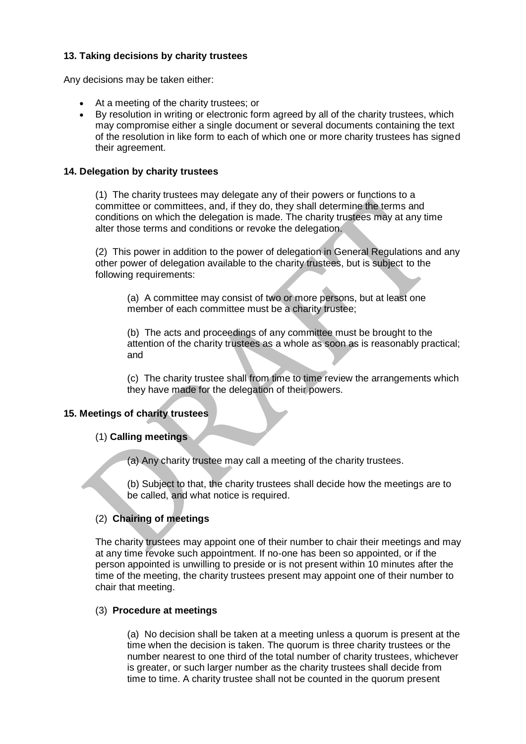## **13. Taking decisions by charity trustees**

Any decisions may be taken either:

- At a meeting of the charity trustees; or
- By resolution in writing or electronic form agreed by all of the charity trustees, which may compromise either a single document or several documents containing the text of the resolution in like form to each of which one or more charity trustees has signed their agreement.

### **14. Delegation by charity trustees**

(1) The charity trustees may delegate any of their powers or functions to a committee or committees, and, if they do, they shall determine the terms and conditions on which the delegation is made. The charity trustees may at any time alter those terms and conditions or revoke the delegation.

(2) This power in addition to the power of delegation in General Regulations and any other power of delegation available to the charity trustees, but is subject to the following requirements:

(a) A committee may consist of two or more persons, but at least one member of each committee must be a charity trustee;

(b) The acts and proceedings of any committee must be brought to the attention of the charity trustees as a whole as soon as is reasonably practical; and

(c) The charity trustee shall from time to time review the arrangements which they have made for the delegation of their powers.

## **15. Meetings of charity trustees**

## (1) **Calling meetings**

(a) Any charity trustee may call a meeting of the charity trustees.

(b) Subject to that, the charity trustees shall decide how the meetings are to be called, and what notice is required.

## (2) **Chairing of meetings**

The charity trustees may appoint one of their number to chair their meetings and may at any time revoke such appointment. If no-one has been so appointed, or if the person appointed is unwilling to preside or is not present within 10 minutes after the time of the meeting, the charity trustees present may appoint one of their number to chair that meeting.

#### (3) **Procedure at meetings**

(a) No decision shall be taken at a meeting unless a quorum is present at the time when the decision is taken. The quorum is three charity trustees or the number nearest to one third of the total number of charity trustees, whichever is greater, or such larger number as the charity trustees shall decide from time to time. A charity trustee shall not be counted in the quorum present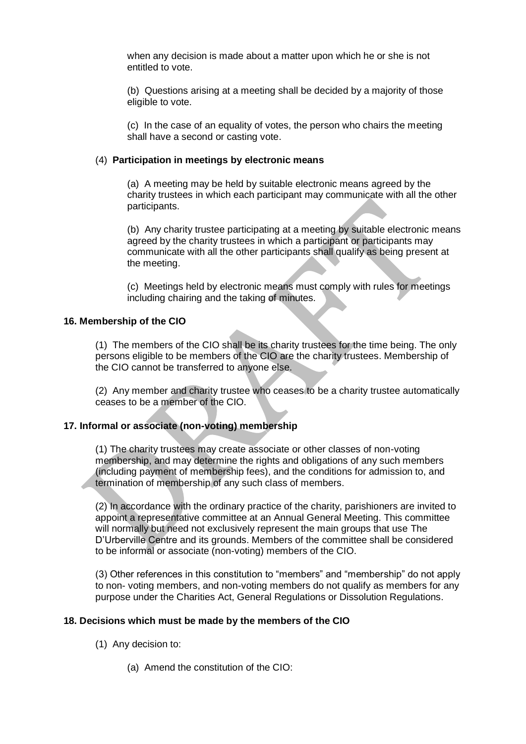when any decision is made about a matter upon which he or she is not entitled to vote.

(b) Questions arising at a meeting shall be decided by a majority of those eligible to vote.

(c) In the case of an equality of votes, the person who chairs the meeting shall have a second or casting vote.

#### (4) **Participation in meetings by electronic means**

(a) A meeting may be held by suitable electronic means agreed by the charity trustees in which each participant may communicate with all the other participants.

(b) Any charity trustee participating at a meeting by suitable electronic means agreed by the charity trustees in which a participant or participants may communicate with all the other participants shall qualify as being present at the meeting.

(c) Meetings held by electronic means must comply with rules for meetings including chairing and the taking of minutes.

#### **16. Membership of the CIO**

(1) The members of the CIO shall be its charity trustees for the time being. The only persons eligible to be members of the CIO are the charity trustees. Membership of the CIO cannot be transferred to anyone else.

(2) Any member and charity trustee who ceases to be a charity trustee automatically ceases to be a member of the CIO.

#### **17. Informal or associate (non-voting) membership**

(1) The charity trustees may create associate or other classes of non-voting membership, and may determine the rights and obligations of any such members (including payment of membership fees), and the conditions for admission to, and termination of membership of any such class of members.

(2) In accordance with the ordinary practice of the charity, parishioners are invited to appoint a representative committee at an Annual General Meeting. This committee will normally but need not exclusively represent the main groups that use The D'Urberville Centre and its grounds. Members of the committee shall be considered to be informal or associate (non-voting) members of the CIO.

(3) Other references in this constitution to "members" and "membership" do not apply to non- voting members, and non-voting members do not qualify as members for any purpose under the Charities Act, General Regulations or Dissolution Regulations.

#### **18. Decisions which must be made by the members of the CIO**

- (1) Any decision to:
	- (a) Amend the constitution of the CIO: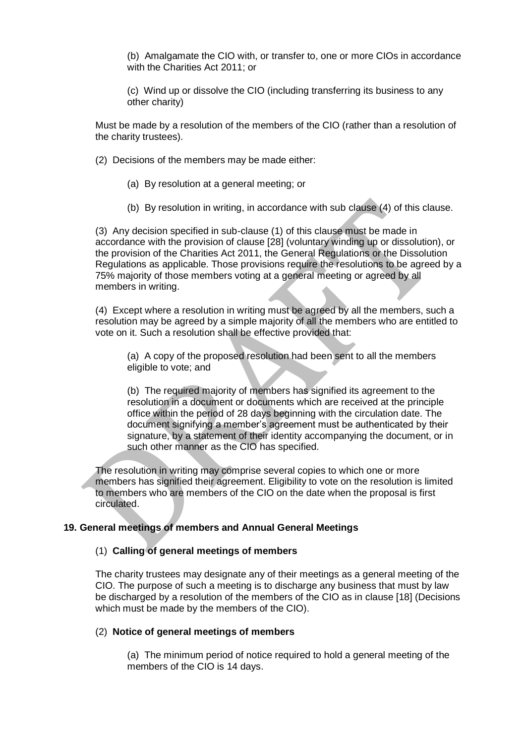(b) Amalgamate the CIO with, or transfer to, one or more CIOs in accordance with the Charities Act 2011; or

(c) Wind up or dissolve the CIO (including transferring its business to any other charity)

Must be made by a resolution of the members of the CIO (rather than a resolution of the charity trustees).

(2) Decisions of the members may be made either:

- (a) By resolution at a general meeting; or
- (b) By resolution in writing, in accordance with sub clause (4) of this clause.

(3) Any decision specified in sub-clause (1) of this clause must be made in accordance with the provision of clause [28] (voluntary winding up or dissolution), or the provision of the Charities Act 2011, the General Regulations or the Dissolution Regulations as applicable. Those provisions require the resolutions to be agreed by a 75% majority of those members voting at a general meeting or agreed by all members in writing.

(4) Except where a resolution in writing must be agreed by all the members, such a resolution may be agreed by a simple majority of all the members who are entitled to vote on it. Such a resolution shall be effective provided that:

(a) A copy of the proposed resolution had been sent to all the members eligible to vote; and

(b) The required majority of members has signified its agreement to the resolution in a document or documents which are received at the principle office within the period of 28 days beginning with the circulation date. The document signifying a member's agreement must be authenticated by their signature, by a statement of their identity accompanying the document, or in such other manner as the CIO has specified.

The resolution in writing may comprise several copies to which one or more members has signified their agreement. Eligibility to vote on the resolution is limited to members who are members of the CIO on the date when the proposal is first circulated.

## **19. General meetings of members and Annual General Meetings**

#### (1) **Calling of general meetings of members**

The charity trustees may designate any of their meetings as a general meeting of the CIO. The purpose of such a meeting is to discharge any business that must by law be discharged by a resolution of the members of the CIO as in clause [18] (Decisions which must be made by the members of the CIO).

#### (2) **Notice of general meetings of members**

(a) The minimum period of notice required to hold a general meeting of the members of the CIO is 14 days.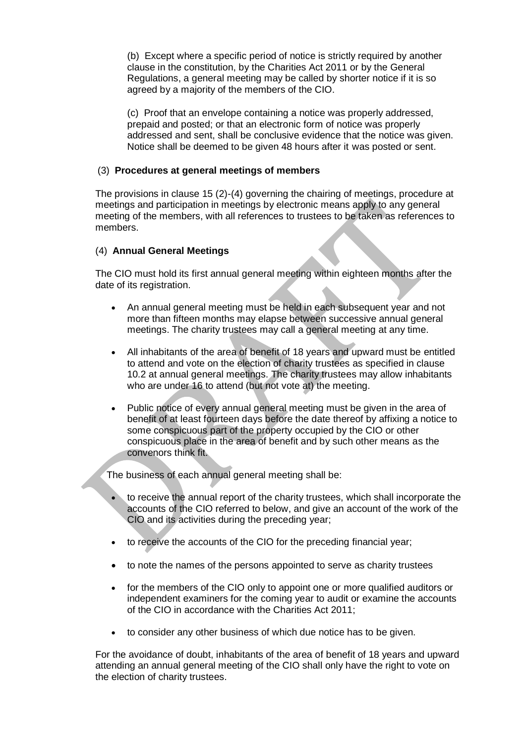(b) Except where a specific period of notice is strictly required by another clause in the constitution, by the Charities Act 2011 or by the General Regulations, a general meeting may be called by shorter notice if it is so agreed by a majority of the members of the CIO.

(c) Proof that an envelope containing a notice was properly addressed, prepaid and posted; or that an electronic form of notice was properly addressed and sent, shall be conclusive evidence that the notice was given. Notice shall be deemed to be given 48 hours after it was posted or sent.

## (3) **Procedures at general meetings of members**

The provisions in clause 15 (2)-(4) governing the chairing of meetings, procedure at meetings and participation in meetings by electronic means apply to any general meeting of the members, with all references to trustees to be taken as references to members.

## (4) **Annual General Meetings**

The CIO must hold its first annual general meeting within eighteen months after the date of its registration.

- An annual general meeting must be held in each subsequent year and not more than fifteen months may elapse between successive annual general meetings. The charity trustees may call a general meeting at any time.
- All inhabitants of the area of benefit of 18 years and upward must be entitled to attend and vote on the election of charity trustees as specified in clause 10.2 at annual general meetings. The charity trustees may allow inhabitants who are under 16 to attend (but not vote at) the meeting.
- Public notice of every annual general meeting must be given in the area of benefit of at least fourteen days before the date thereof by affixing a notice to some conspicuous part of the property occupied by the CIO or other conspicuous place in the area of benefit and by such other means as the convenors think fit.

The business of each annual general meeting shall be:

- to receive the annual report of the charity trustees, which shall incorporate the accounts of the CIO referred to below, and give an account of the work of the CIO and its activities during the preceding year;
- to receive the accounts of the CIO for the preceding financial year;
- to note the names of the persons appointed to serve as charity trustees
- for the members of the CIO only to appoint one or more qualified auditors or independent examiners for the coming year to audit or examine the accounts of the CIO in accordance with the Charities Act 2011;
- to consider any other business of which due notice has to be given.

For the avoidance of doubt, inhabitants of the area of benefit of 18 years and upward attending an annual general meeting of the CIO shall only have the right to vote on the election of charity trustees.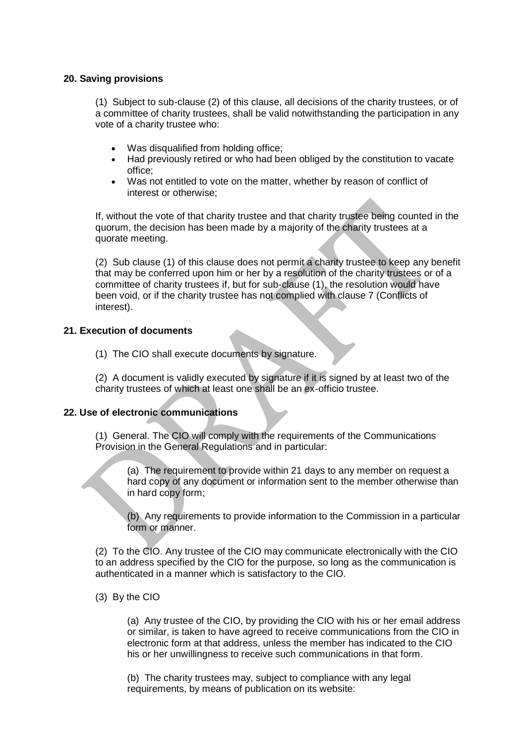## **20. Saving provisions**

(1) Subject to sub-clause (2) of this clause, all decisions of the charity trustees, or of a committee of charity trustees, shall be valid notwithstanding the participation in any vote of a charity trustee who:

- Was disqualified from holding office:
- Had previously retired or who had been obliged by the constitution to vacate office;
- Was not entitled to vote on the matter, whether by reason of conflict of interest or otherwise;

If, without the vote of that charity trustee and that charity trustee being counted in the quorum, the decision has been made by a majority of the charity trustees at a quorate meeting.

(2) Sub clause (1) of this clause does not permit a charity trustee to keep any benefit that may be conferred upon him or her by a resolution of the charity trustees or of a committee of charity trustees if, but for sub-clause (1), the resolution would have been void, or if the charity trustee has not complied with clause 7 (Conflicts of interest).

### **21. Execution of documents**

(1) The CIO shall execute documents by signature.

(2) A document is validly executed by signature if it is signed by at least two of the charity trustees of which at least one shall be an ex-officio trustee.

## **22. Use of electronic communications**

(1) General. The CIO will comply with the requirements of the Communications Provision in the General Regulations and in particular:

(a) The requirement to provide within 21 days to any member on request a hard copy of any document or information sent to the member otherwise than in hard copy form;

(b) Any requirements to provide information to the Commission in a particular form or manner.

(2) To the CIO. Any trustee of the CIO may communicate electronically with the CIO to an address specified by the CIO for the purpose, so long as the communication is authenticated in a manner which is satisfactory to the CIO.

#### (3) By the CIO

(a) Any trustee of the CIO, by providing the CIO with his or her email address or similar, is taken to have agreed to receive communications from the CIO in electronic form at that address, unless the member has indicated to the CIO his or her unwillingness to receive such communications in that form.

(b) The charity trustees may, subject to compliance with any legal requirements, by means of publication on its website: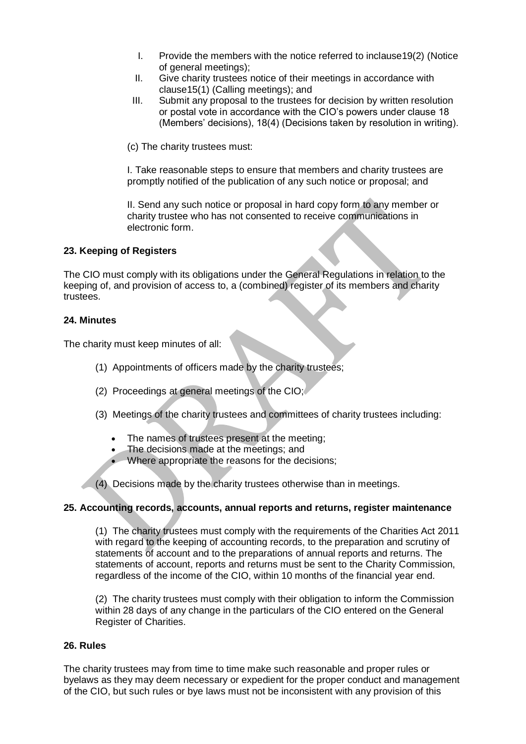- I. Provide the members with the notice referred to inclause19(2) (Notice of general meetings);
- II. Give charity trustees notice of their meetings in accordance with clause15(1) (Calling meetings); and
- III. Submit any proposal to the trustees for decision by written resolution or postal vote in accordance with the CIO's powers under clause 18 (Members' decisions), 18(4) (Decisions taken by resolution in writing).

(c) The charity trustees must:

I. Take reasonable steps to ensure that members and charity trustees are promptly notified of the publication of any such notice or proposal; and

II. Send any such notice or proposal in hard copy form to any member or charity trustee who has not consented to receive communications in electronic form.

## **23. Keeping of Registers**

The CIO must comply with its obligations under the General Regulations in relation to the keeping of, and provision of access to, a (combined) register of its members and charity trustees.

## **24. Minutes**

The charity must keep minutes of all:

- (1) Appointments of officers made by the charity trustees;
- (2) Proceedings at general meetings of the CIO;
- (3) Meetings of the charity trustees and committees of charity trustees including:
	- The names of trustees present at the meeting;
	- The decisions made at the meetings; and
	- Where appropriate the reasons for the decisions;
- (4) Decisions made by the charity trustees otherwise than in meetings.

## **25. Accounting records, accounts, annual reports and returns, register maintenance**

(1) The charity trustees must comply with the requirements of the Charities Act 2011 with regard to the keeping of accounting records, to the preparation and scrutiny of statements of account and to the preparations of annual reports and returns. The statements of account, reports and returns must be sent to the Charity Commission, regardless of the income of the CIO, within 10 months of the financial year end.

(2) The charity trustees must comply with their obligation to inform the Commission within 28 days of any change in the particulars of the CIO entered on the General Register of Charities.

#### **26. Rules**

The charity trustees may from time to time make such reasonable and proper rules or byelaws as they may deem necessary or expedient for the proper conduct and management of the CIO, but such rules or bye laws must not be inconsistent with any provision of this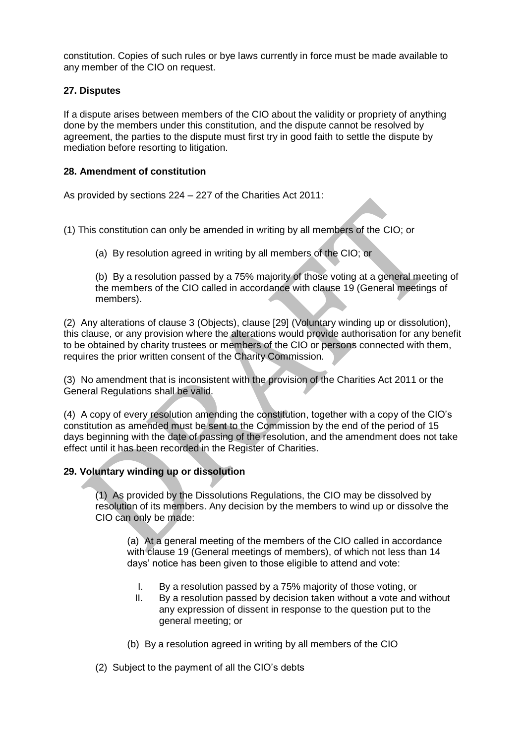constitution. Copies of such rules or bye laws currently in force must be made available to any member of the CIO on request.

## **27. Disputes**

If a dispute arises between members of the CIO about the validity or propriety of anything done by the members under this constitution, and the dispute cannot be resolved by agreement, the parties to the dispute must first try in good faith to settle the dispute by mediation before resorting to litigation.

## **28. Amendment of constitution**

As provided by sections 224 – 227 of the Charities Act 2011:

(1) This constitution can only be amended in writing by all members of the CIO; or

(a) By resolution agreed in writing by all members of the CIO; or

(b) By a resolution passed by a 75% majority of those voting at a general meeting of the members of the CIO called in accordance with clause 19 (General meetings of members).

(2) Any alterations of clause 3 (Objects), clause [29] (Voluntary winding up or dissolution), this clause, or any provision where the alterations would provide authorisation for any benefit to be obtained by charity trustees or members of the CIO or persons connected with them, requires the prior written consent of the Charity Commission.

(3) No amendment that is inconsistent with the provision of the Charities Act 2011 or the General Regulations shall be valid.

(4) A copy of every resolution amending the constitution, together with a copy of the CIO's constitution as amended must be sent to the Commission by the end of the period of 15 days beginning with the date of passing of the resolution, and the amendment does not take effect until it has been recorded in the Register of Charities.

## **29. Voluntary winding up or dissolution**

(1) As provided by the Dissolutions Regulations, the CIO may be dissolved by resolution of its members. Any decision by the members to wind up or dissolve the CIO can only be made:

(a) At a general meeting of the members of the CIO called in accordance with clause 19 (General meetings of members), of which not less than 14 days' notice has been given to those eligible to attend and vote:

- I. By a resolution passed by a 75% majority of those voting, or
- II. By a resolution passed by decision taken without a vote and without any expression of dissent in response to the question put to the general meeting; or
- (b) By a resolution agreed in writing by all members of the CIO
- (2) Subject to the payment of all the CIO's debts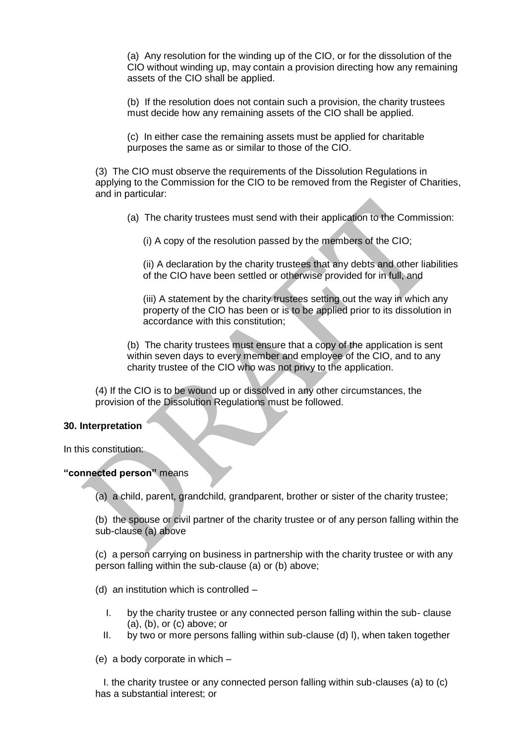(a) Any resolution for the winding up of the CIO, or for the dissolution of the CIO without winding up, may contain a provision directing how any remaining assets of the CIO shall be applied.

(b) If the resolution does not contain such a provision, the charity trustees must decide how any remaining assets of the CIO shall be applied.

(c) In either case the remaining assets must be applied for charitable purposes the same as or similar to those of the CIO.

(3) The CIO must observe the requirements of the Dissolution Regulations in applying to the Commission for the CIO to be removed from the Register of Charities, and in particular:

- (a) The charity trustees must send with their application to the Commission:
	- (i) A copy of the resolution passed by the members of the CIO;

(ii) A declaration by the charity trustees that any debts and other liabilities of the CIO have been settled or otherwise provided for in full, and

(iii) A statement by the charity trustees setting out the way in which any property of the CIO has been or is to be applied prior to its dissolution in accordance with this constitution;

(b) The charity trustees must ensure that a copy of the application is sent within seven days to every member and employee of the CIO, and to any charity trustee of the CIO who was not privy to the application.

(4) If the CIO is to be wound up or dissolved in any other circumstances, the provision of the Dissolution Regulations must be followed.

#### **30. Interpretation**

In this constitution:

## **"connected person"** means

(a) a child, parent, grandchild, grandparent, brother or sister of the charity trustee;

(b) the spouse or civil partner of the charity trustee or of any person falling within the sub-clause (a) above

(c) a person carrying on business in partnership with the charity trustee or with any person falling within the sub-clause (a) or (b) above;

- (d) an institution which is controlled
	- I. by the charity trustee or any connected person falling within the sub- clause (a), (b), or (c) above; or
	- II. by two or more persons falling within sub-clause (d) l), when taken together

(e) a body corporate in which –

 I. the charity trustee or any connected person falling within sub-clauses (a) to (c) has a substantial interest; or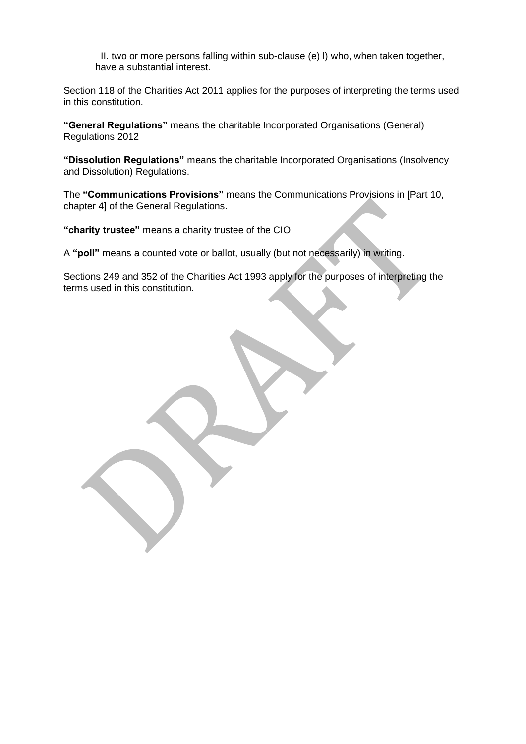II. two or more persons falling within sub-clause (e) l) who, when taken together, have a substantial interest.

Section 118 of the Charities Act 2011 applies for the purposes of interpreting the terms used in this constitution.

**"General Regulations"** means the charitable Incorporated Organisations (General) Regulations 2012

**"Dissolution Regulations"** means the charitable Incorporated Organisations (Insolvency and Dissolution) Regulations.

The **"Communications Provisions"** means the Communications Provisions in [Part 10, chapter 4] of the General Regulations.

**"charity trustee"** means a charity trustee of the CIO.

A **"poll"** means a counted vote or ballot, usually (but not necessarily) in writing.

Sections 249 and 352 of the Charities Act 1993 apply for the purposes of interpreting the terms used in this constitution.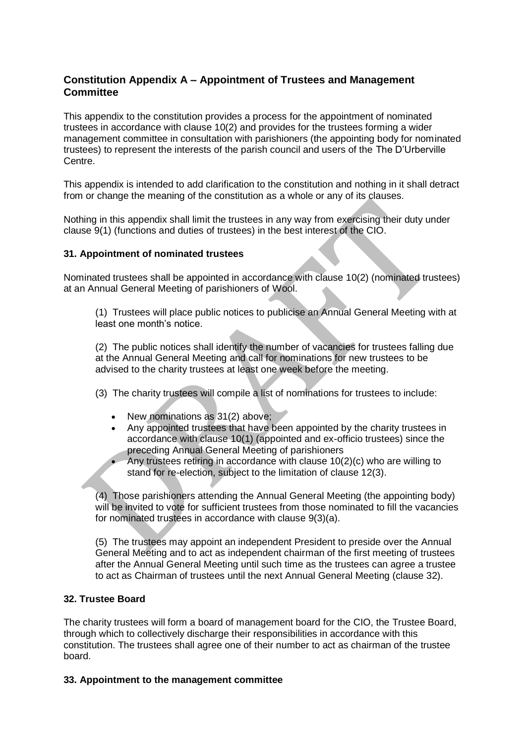## **Constitution Appendix A – Appointment of Trustees and Management Committee**

This appendix to the constitution provides a process for the appointment of nominated trustees in accordance with clause 10(2) and provides for the trustees forming a wider management committee in consultation with parishioners (the appointing body for nominated trustees) to represent the interests of the parish council and users of the The D'Urberville Centre.

This appendix is intended to add clarification to the constitution and nothing in it shall detract from or change the meaning of the constitution as a whole or any of its clauses.

Nothing in this appendix shall limit the trustees in any way from exercising their duty under clause 9(1) (functions and duties of trustees) in the best interest of the CIO.

### **31. Appointment of nominated trustees**

Nominated trustees shall be appointed in accordance with clause 10(2) (nominated trustees) at an Annual General Meeting of parishioners of Wool.

(1) Trustees will place public notices to publicise an Annual General Meeting with at least one month's notice.

(2) The public notices shall identify the number of vacancies for trustees falling due at the Annual General Meeting and call for nominations for new trustees to be advised to the charity trustees at least one week before the meeting.

(3) The charity trustees will compile a list of nominations for trustees to include:

- New nominations as 31(2) above;
- Any appointed trustees that have been appointed by the charity trustees in accordance with clause 10(1) (appointed and ex-officio trustees) since the preceding Annual General Meeting of parishioners
- Any trustees retiring in accordance with clause 10(2)(c) who are willing to stand for re-election, subject to the limitation of clause 12(3).

(4) Those parishioners attending the Annual General Meeting (the appointing body) will be invited to vote for sufficient trustees from those nominated to fill the vacancies for nominated trustees in accordance with clause 9(3)(a).

(5) The trustees may appoint an independent President to preside over the Annual General Meeting and to act as independent chairman of the first meeting of trustees after the Annual General Meeting until such time as the trustees can agree a trustee to act as Chairman of trustees until the next Annual General Meeting (clause 32).

## **32. Trustee Board**

The charity trustees will form a board of management board for the CIO, the Trustee Board, through which to collectively discharge their responsibilities in accordance with this constitution. The trustees shall agree one of their number to act as chairman of the trustee board.

#### **33. Appointment to the management committee**